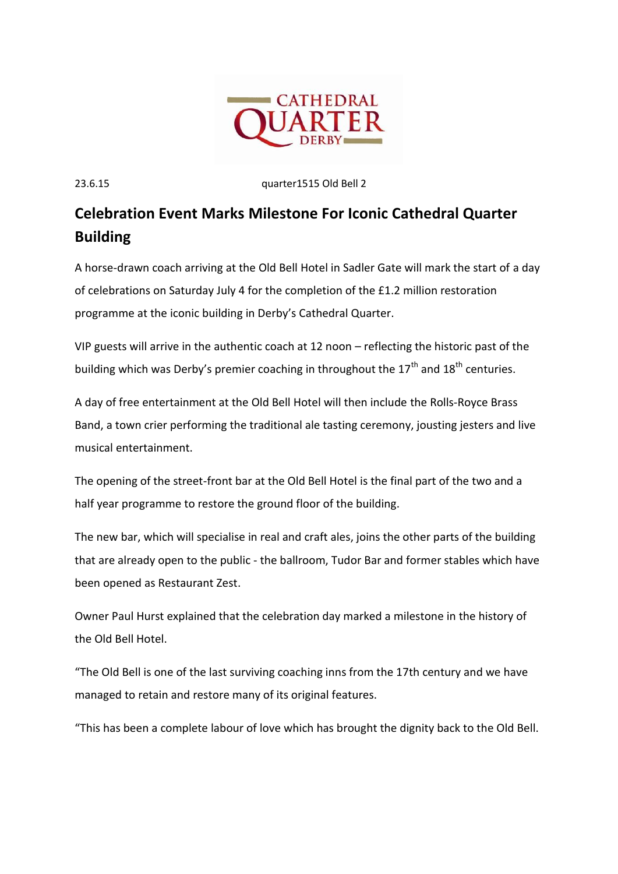

23.6.15 quarter1515 Old Bell 2

## **Celebration Event Marks Milestone For Iconic Cathedral Quarter Building**

A horse-drawn coach arriving at the Old Bell Hotel in Sadler Gate will mark the start of a day of celebrations on Saturday July 4 for the completion of the £1.2 million restoration programme at the iconic building in Derby's Cathedral Quarter.

VIP guests will arrive in the authentic coach at 12 noon – reflecting the historic past of the building which was Derby's premier coaching in throughout the  $17<sup>th</sup>$  and  $18<sup>th</sup>$  centuries.

A day of free entertainment at the Old Bell Hotel will then include the Rolls-Royce Brass Band, a town crier performing the traditional ale tasting ceremony, jousting jesters and live musical entertainment.

The opening of the street-front bar at the Old Bell Hotel is the final part of the two and a half year programme to restore the ground floor of the building.

The new bar, which will specialise in real and craft ales, joins the other parts of the building that are already open to the public - the ballroom, Tudor Bar and former stables which have been opened as Restaurant Zest.

Owner Paul Hurst explained that the celebration day marked a milestone in the history of the Old Bell Hotel.

"The Old Bell is one of the last surviving coaching inns from the 17th century and we have managed to retain and restore many of its original features.

"This has been a complete labour of love which has brought the dignity back to the Old Bell.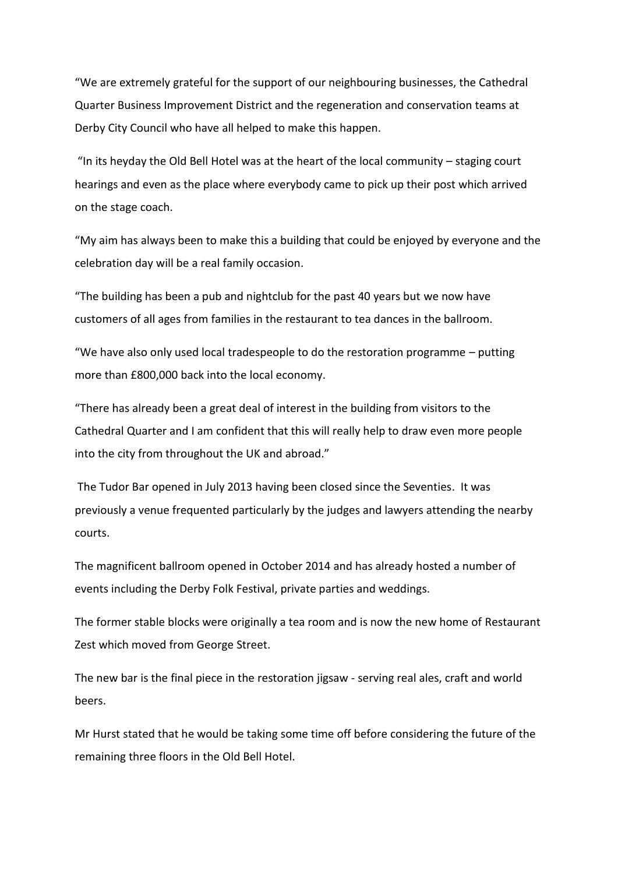"We are extremely grateful for the support of our neighbouring businesses, the Cathedral Quarter Business Improvement District and the regeneration and conservation teams at Derby City Council who have all helped to make this happen.

"In its heyday the Old Bell Hotel was at the heart of the local community – staging court hearings and even as the place where everybody came to pick up their post which arrived on the stage coach.

"My aim has always been to make this a building that could be enjoyed by everyone and the celebration day will be a real family occasion.

"The building has been a pub and nightclub for the past 40 years but we now have customers of all ages from families in the restaurant to tea dances in the ballroom.

"We have also only used local tradespeople to do the restoration programme – putting more than £800,000 back into the local economy.

"There has already been a great deal of interest in the building from visitors to the Cathedral Quarter and I am confident that this will really help to draw even more people into the city from throughout the UK and abroad."

The Tudor Bar opened in July 2013 having been closed since the Seventies. It was previously a venue frequented particularly by the judges and lawyers attending the nearby courts.

The magnificent ballroom opened in October 2014 and has already hosted a number of events including the Derby Folk Festival, private parties and weddings.

The former stable blocks were originally a tea room and is now the new home of Restaurant Zest which moved from George Street.

The new bar is the final piece in the restoration jigsaw - serving real ales, craft and world beers.

Mr Hurst stated that he would be taking some time off before considering the future of the remaining three floors in the Old Bell Hotel.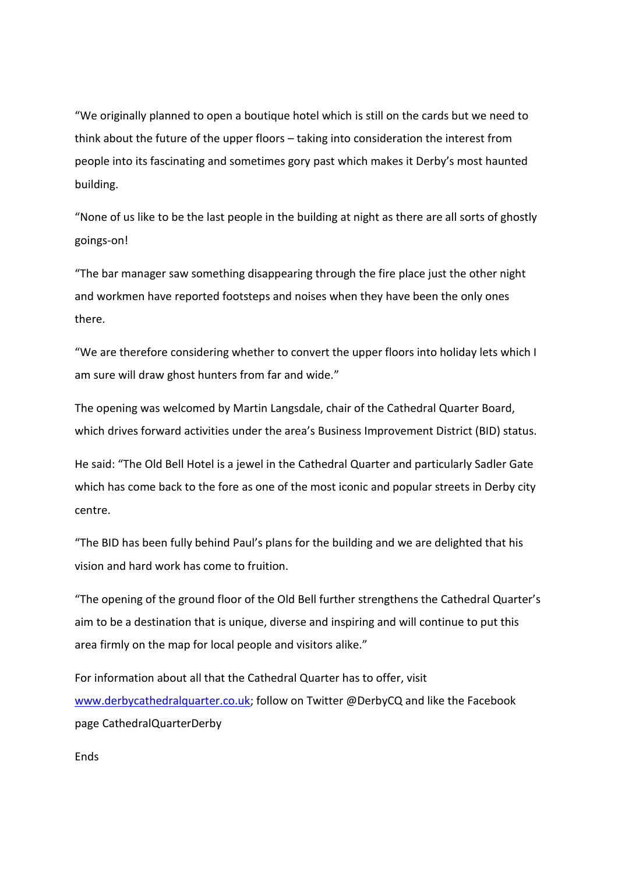"We originally planned to open a boutique hotel which is still on the cards but we need to think about the future of the upper floors – taking into consideration the interest from people into its fascinating and sometimes gory past which makes it Derby's most haunted building.

"None of us like to be the last people in the building at night as there are all sorts of ghostly goings-on!

"The bar manager saw something disappearing through the fire place just the other night and workmen have reported footsteps and noises when they have been the only ones there.

"We are therefore considering whether to convert the upper floors into holiday lets which I am sure will draw ghost hunters from far and wide."

The opening was welcomed by Martin Langsdale, chair of the Cathedral Quarter Board, which drives forward activities under the area's Business Improvement District (BID) status.

He said: "The Old Bell Hotel is a jewel in the Cathedral Quarter and particularly Sadler Gate which has come back to the fore as one of the most iconic and popular streets in Derby city centre.

"The BID has been fully behind Paul's plans for the building and we are delighted that his vision and hard work has come to fruition.

"The opening of the ground floor of the Old Bell further strengthens the Cathedral Quarter's aim to be a destination that is unique, diverse and inspiring and will continue to put this area firmly on the map for local people and visitors alike."

For information about all that the Cathedral Quarter has to offer, visit [www.derbycathedralquarter.co.uk;](http://www.derbycathedralquarter.co.uk/) follow on Twitter @DerbyCQ and like the Facebook page CathedralQuarterDerby

**Fnds**